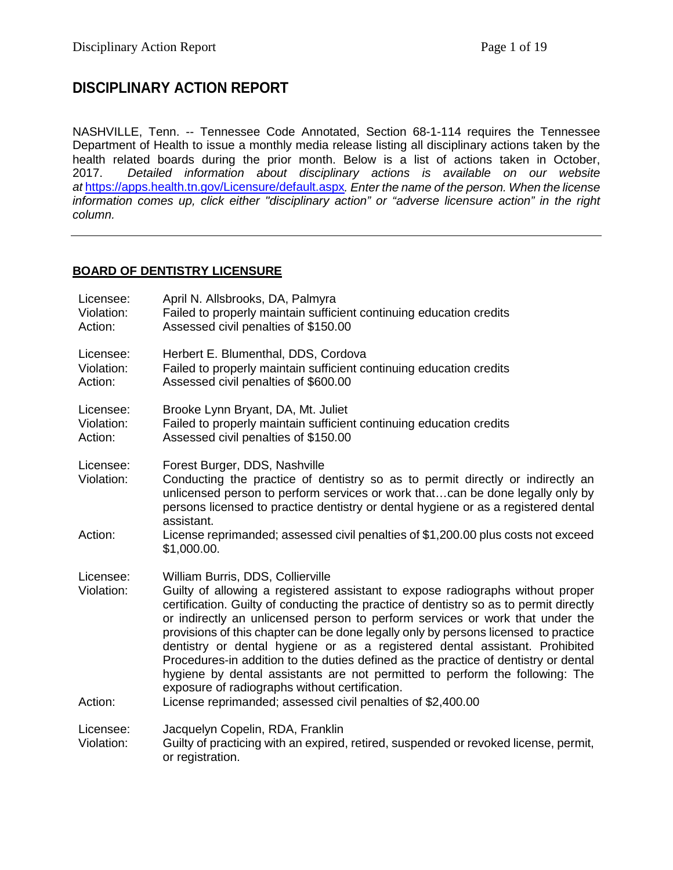# **DISCIPLINARY ACTION REPORT**

NASHVILLE, Tenn. -- Tennessee Code Annotated, Section 68-1-114 requires the Tennessee Department of Health to issue a monthly media release listing all disciplinary actions taken by the health related boards during the prior month. Below is a list of actions taken in October,<br>2017. Detailed information about disciplinary actions is available on our website 2017. *Detailed information about disciplinary actions is available on our website at* <https://apps.health.tn.gov/Licensure/default.aspx>*. Enter the name of the person. When the license information comes up, click either "disciplinary action" or "adverse licensure action" in the right column.*

## **BOARD OF DENTISTRY LICENSURE**

| Licensee:<br>Violation:<br>Action: | April N. Allsbrooks, DA, Palmyra<br>Failed to properly maintain sufficient continuing education credits<br>Assessed civil penalties of \$150.00                                                                                                                                                                                                                                                                                                                                                                                                                                                                                                                                                                                                              |
|------------------------------------|--------------------------------------------------------------------------------------------------------------------------------------------------------------------------------------------------------------------------------------------------------------------------------------------------------------------------------------------------------------------------------------------------------------------------------------------------------------------------------------------------------------------------------------------------------------------------------------------------------------------------------------------------------------------------------------------------------------------------------------------------------------|
| Licensee:<br>Violation:<br>Action: | Herbert E. Blumenthal, DDS, Cordova<br>Failed to properly maintain sufficient continuing education credits<br>Assessed civil penalties of \$600.00                                                                                                                                                                                                                                                                                                                                                                                                                                                                                                                                                                                                           |
| Licensee:<br>Violation:<br>Action: | Brooke Lynn Bryant, DA, Mt. Juliet<br>Failed to properly maintain sufficient continuing education credits<br>Assessed civil penalties of \$150.00                                                                                                                                                                                                                                                                                                                                                                                                                                                                                                                                                                                                            |
| Licensee:<br>Violation:            | Forest Burger, DDS, Nashville<br>Conducting the practice of dentistry so as to permit directly or indirectly an<br>unlicensed person to perform services or work thatcan be done legally only by<br>persons licensed to practice dentistry or dental hygiene or as a registered dental<br>assistant.                                                                                                                                                                                                                                                                                                                                                                                                                                                         |
| Action:                            | License reprimanded; assessed civil penalties of \$1,200.00 plus costs not exceed<br>\$1,000.00.                                                                                                                                                                                                                                                                                                                                                                                                                                                                                                                                                                                                                                                             |
| Licensee:<br>Violation:<br>Action: | William Burris, DDS, Collierville<br>Guilty of allowing a registered assistant to expose radiographs without proper<br>certification. Guilty of conducting the practice of dentistry so as to permit directly<br>or indirectly an unlicensed person to perform services or work that under the<br>provisions of this chapter can be done legally only by persons licensed to practice<br>dentistry or dental hygiene or as a registered dental assistant. Prohibited<br>Procedures-in addition to the duties defined as the practice of dentistry or dental<br>hygiene by dental assistants are not permitted to perform the following: The<br>exposure of radiographs without certification.<br>License reprimanded; assessed civil penalties of \$2,400.00 |
| Licensee:                          | Jacquelyn Copelin, RDA, Franklin                                                                                                                                                                                                                                                                                                                                                                                                                                                                                                                                                                                                                                                                                                                             |
| Violation:                         | Guilty of practicing with an expired, retired, suspended or revoked license, permit,<br>or registration.                                                                                                                                                                                                                                                                                                                                                                                                                                                                                                                                                                                                                                                     |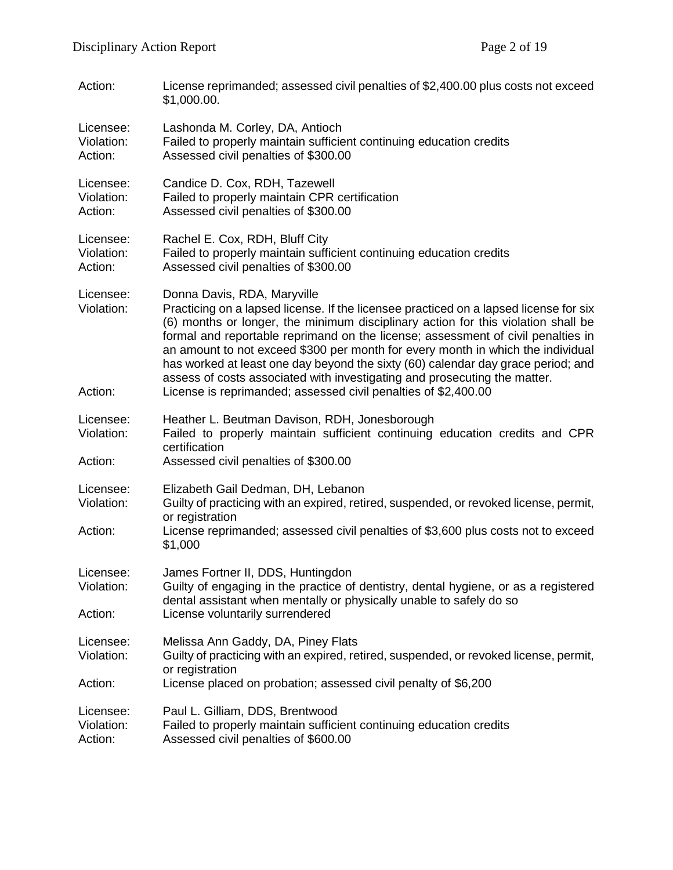| Action:                            | License reprimanded; assessed civil penalties of \$2,400.00 plus costs not exceed<br>\$1,000.00.                                                                                                                                                                                                                                                                                                                                                                                                                                                  |
|------------------------------------|---------------------------------------------------------------------------------------------------------------------------------------------------------------------------------------------------------------------------------------------------------------------------------------------------------------------------------------------------------------------------------------------------------------------------------------------------------------------------------------------------------------------------------------------------|
| Licensee:<br>Violation:<br>Action: | Lashonda M. Corley, DA, Antioch<br>Failed to properly maintain sufficient continuing education credits<br>Assessed civil penalties of \$300.00                                                                                                                                                                                                                                                                                                                                                                                                    |
| Licensee:<br>Violation:<br>Action: | Candice D. Cox, RDH, Tazewell<br>Failed to properly maintain CPR certification<br>Assessed civil penalties of \$300.00                                                                                                                                                                                                                                                                                                                                                                                                                            |
| Licensee:<br>Violation:<br>Action: | Rachel E. Cox, RDH, Bluff City<br>Failed to properly maintain sufficient continuing education credits<br>Assessed civil penalties of \$300.00                                                                                                                                                                                                                                                                                                                                                                                                     |
| Licensee:<br>Violation:            | Donna Davis, RDA, Maryville<br>Practicing on a lapsed license. If the licensee practiced on a lapsed license for six<br>(6) months or longer, the minimum disciplinary action for this violation shall be<br>formal and reportable reprimand on the license; assessment of civil penalties in<br>an amount to not exceed \$300 per month for every month in which the individual<br>has worked at least one day beyond the sixty (60) calendar day grace period; and<br>assess of costs associated with investigating and prosecuting the matter. |
| Action:                            | License is reprimanded; assessed civil penalties of \$2,400.00                                                                                                                                                                                                                                                                                                                                                                                                                                                                                    |
| Licensee:<br>Violation:            | Heather L. Beutman Davison, RDH, Jonesborough<br>Failed to properly maintain sufficient continuing education credits and CPR<br>certification                                                                                                                                                                                                                                                                                                                                                                                                     |
| Action:                            | Assessed civil penalties of \$300.00                                                                                                                                                                                                                                                                                                                                                                                                                                                                                                              |
| Licensee:<br>Violation:            | Elizabeth Gail Dedman, DH, Lebanon<br>Guilty of practicing with an expired, retired, suspended, or revoked license, permit,<br>or registration                                                                                                                                                                                                                                                                                                                                                                                                    |
| Action:                            | License reprimanded; assessed civil penalties of \$3,600 plus costs not to exceed<br>\$1,000                                                                                                                                                                                                                                                                                                                                                                                                                                                      |
| Licensee:<br>Violation:            | James Fortner II, DDS, Huntingdon<br>Guilty of engaging in the practice of dentistry, dental hygiene, or as a registered<br>dental assistant when mentally or physically unable to safely do so                                                                                                                                                                                                                                                                                                                                                   |
| Action:                            | License voluntarily surrendered                                                                                                                                                                                                                                                                                                                                                                                                                                                                                                                   |
| Licensee:<br>Violation:            | Melissa Ann Gaddy, DA, Piney Flats<br>Guilty of practicing with an expired, retired, suspended, or revoked license, permit,<br>or registration                                                                                                                                                                                                                                                                                                                                                                                                    |
| Action:                            | License placed on probation; assessed civil penalty of \$6,200                                                                                                                                                                                                                                                                                                                                                                                                                                                                                    |
| Licensee:<br>Violation:<br>Action: | Paul L. Gilliam, DDS, Brentwood<br>Failed to properly maintain sufficient continuing education credits<br>Assessed civil penalties of \$600.00                                                                                                                                                                                                                                                                                                                                                                                                    |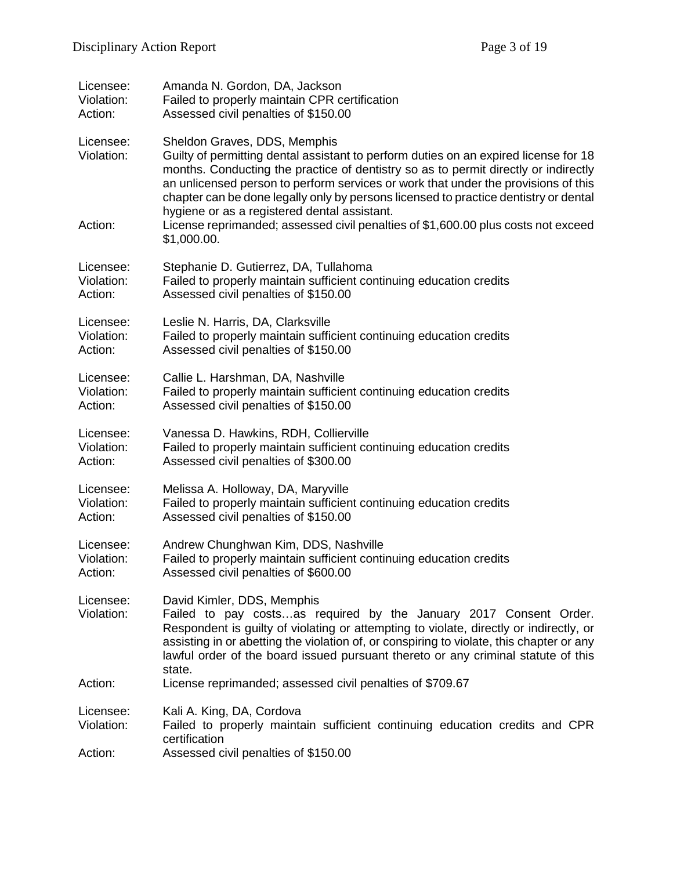| Licensee:                          | Amanda N. Gordon, DA, Jackson                                                                                                                                                                                                                                                                                                                                                                                                                                                                                                                 |
|------------------------------------|-----------------------------------------------------------------------------------------------------------------------------------------------------------------------------------------------------------------------------------------------------------------------------------------------------------------------------------------------------------------------------------------------------------------------------------------------------------------------------------------------------------------------------------------------|
| Violation:                         | Failed to properly maintain CPR certification                                                                                                                                                                                                                                                                                                                                                                                                                                                                                                 |
| Action:                            | Assessed civil penalties of \$150.00                                                                                                                                                                                                                                                                                                                                                                                                                                                                                                          |
| Licensee:<br>Violation:<br>Action: | Sheldon Graves, DDS, Memphis<br>Guilty of permitting dental assistant to perform duties on an expired license for 18<br>months. Conducting the practice of dentistry so as to permit directly or indirectly<br>an unlicensed person to perform services or work that under the provisions of this<br>chapter can be done legally only by persons licensed to practice dentistry or dental<br>hygiene or as a registered dental assistant.<br>License reprimanded; assessed civil penalties of \$1,600.00 plus costs not exceed<br>\$1,000.00. |
| Licensee:                          | Stephanie D. Gutierrez, DA, Tullahoma                                                                                                                                                                                                                                                                                                                                                                                                                                                                                                         |
| Violation:                         | Failed to properly maintain sufficient continuing education credits                                                                                                                                                                                                                                                                                                                                                                                                                                                                           |
| Action:                            | Assessed civil penalties of \$150.00                                                                                                                                                                                                                                                                                                                                                                                                                                                                                                          |
| Licensee:                          | Leslie N. Harris, DA, Clarksville                                                                                                                                                                                                                                                                                                                                                                                                                                                                                                             |
| Violation:                         | Failed to properly maintain sufficient continuing education credits                                                                                                                                                                                                                                                                                                                                                                                                                                                                           |
| Action:                            | Assessed civil penalties of \$150.00                                                                                                                                                                                                                                                                                                                                                                                                                                                                                                          |
| Licensee:                          | Callie L. Harshman, DA, Nashville                                                                                                                                                                                                                                                                                                                                                                                                                                                                                                             |
| Violation:                         | Failed to properly maintain sufficient continuing education credits                                                                                                                                                                                                                                                                                                                                                                                                                                                                           |
| Action:                            | Assessed civil penalties of \$150.00                                                                                                                                                                                                                                                                                                                                                                                                                                                                                                          |
| Licensee:                          | Vanessa D. Hawkins, RDH, Collierville                                                                                                                                                                                                                                                                                                                                                                                                                                                                                                         |
| Violation:                         | Failed to properly maintain sufficient continuing education credits                                                                                                                                                                                                                                                                                                                                                                                                                                                                           |
| Action:                            | Assessed civil penalties of \$300.00                                                                                                                                                                                                                                                                                                                                                                                                                                                                                                          |
| Licensee:                          | Melissa A. Holloway, DA, Maryville                                                                                                                                                                                                                                                                                                                                                                                                                                                                                                            |
| Violation:                         | Failed to properly maintain sufficient continuing education credits                                                                                                                                                                                                                                                                                                                                                                                                                                                                           |
| Action:                            | Assessed civil penalties of \$150.00                                                                                                                                                                                                                                                                                                                                                                                                                                                                                                          |
| Licensee:                          | Andrew Chunghwan Kim, DDS, Nashville                                                                                                                                                                                                                                                                                                                                                                                                                                                                                                          |
| Violation:                         | Failed to properly maintain sufficient continuing education credits                                                                                                                                                                                                                                                                                                                                                                                                                                                                           |
| Action:                            | Assessed civil penalties of \$600.00                                                                                                                                                                                                                                                                                                                                                                                                                                                                                                          |
| Licensee:<br>Violation:            | David Kimler, DDS, Memphis<br>Failed to pay costsas required by the January 2017 Consent Order.<br>Respondent is guilty of violating or attempting to violate, directly or indirectly, or<br>assisting in or abetting the violation of, or conspiring to violate, this chapter or any<br>lawful order of the board issued pursuant thereto or any criminal statute of this<br>state.                                                                                                                                                          |
| Action:                            | License reprimanded; assessed civil penalties of \$709.67                                                                                                                                                                                                                                                                                                                                                                                                                                                                                     |
| Licensee:<br>Violation:            | Kali A. King, DA, Cordova<br>Failed to properly maintain sufficient continuing education credits and CPR<br>certification                                                                                                                                                                                                                                                                                                                                                                                                                     |
| Action:                            | Assessed civil penalties of \$150.00                                                                                                                                                                                                                                                                                                                                                                                                                                                                                                          |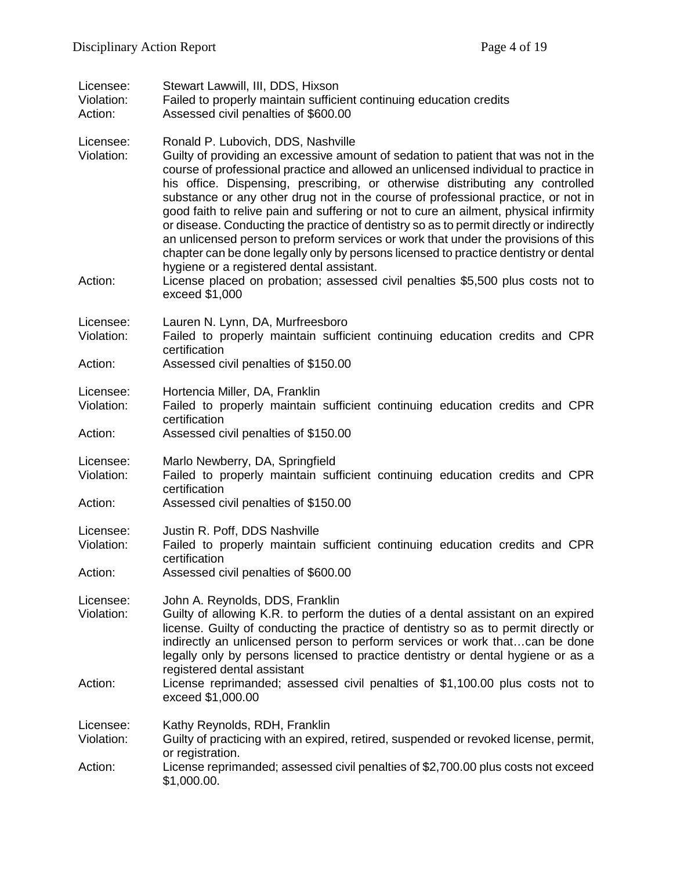| Licensee:<br>Violation:<br>Action: | Stewart Lawwill, III, DDS, Hixson<br>Failed to properly maintain sufficient continuing education credits<br>Assessed civil penalties of \$600.00                                                                                                                                                                                                                                                                                                                                                                                                                                                                                                                                                                                                                                                                                                                                                          |
|------------------------------------|-----------------------------------------------------------------------------------------------------------------------------------------------------------------------------------------------------------------------------------------------------------------------------------------------------------------------------------------------------------------------------------------------------------------------------------------------------------------------------------------------------------------------------------------------------------------------------------------------------------------------------------------------------------------------------------------------------------------------------------------------------------------------------------------------------------------------------------------------------------------------------------------------------------|
| Licensee:<br>Violation:<br>Action: | Ronald P. Lubovich, DDS, Nashville<br>Guilty of providing an excessive amount of sedation to patient that was not in the<br>course of professional practice and allowed an unlicensed individual to practice in<br>his office. Dispensing, prescribing, or otherwise distributing any controlled<br>substance or any other drug not in the course of professional practice, or not in<br>good faith to relive pain and suffering or not to cure an ailment, physical infirmity<br>or disease. Conducting the practice of dentistry so as to permit directly or indirectly<br>an unlicensed person to preform services or work that under the provisions of this<br>chapter can be done legally only by persons licensed to practice dentistry or dental<br>hygiene or a registered dental assistant.<br>License placed on probation; assessed civil penalties \$5,500 plus costs not to<br>exceed \$1,000 |
| Licensee:<br>Violation:<br>Action: | Lauren N. Lynn, DA, Murfreesboro<br>Failed to properly maintain sufficient continuing education credits and CPR<br>certification<br>Assessed civil penalties of \$150.00                                                                                                                                                                                                                                                                                                                                                                                                                                                                                                                                                                                                                                                                                                                                  |
| Licensee:<br>Violation:<br>Action: | Hortencia Miller, DA, Franklin<br>Failed to properly maintain sufficient continuing education credits and CPR<br>certification<br>Assessed civil penalties of \$150.00                                                                                                                                                                                                                                                                                                                                                                                                                                                                                                                                                                                                                                                                                                                                    |
| Licensee:<br>Violation:<br>Action: | Marlo Newberry, DA, Springfield<br>Failed to properly maintain sufficient continuing education credits and CPR<br>certification<br>Assessed civil penalties of \$150.00                                                                                                                                                                                                                                                                                                                                                                                                                                                                                                                                                                                                                                                                                                                                   |
| Licensee:<br>Violation:<br>Action: | Justin R. Poff, DDS Nashville<br>Failed to properly maintain sufficient continuing education credits and CPR<br>certification<br>Assessed civil penalties of \$600.00                                                                                                                                                                                                                                                                                                                                                                                                                                                                                                                                                                                                                                                                                                                                     |
| Licensee:<br>Violation:<br>Action: | John A. Reynolds, DDS, Franklin<br>Guilty of allowing K.R. to perform the duties of a dental assistant on an expired<br>license. Guilty of conducting the practice of dentistry so as to permit directly or<br>indirectly an unlicensed person to perform services or work thatcan be done<br>legally only by persons licensed to practice dentistry or dental hygiene or as a<br>registered dental assistant<br>License reprimanded; assessed civil penalties of \$1,100.00 plus costs not to<br>exceed \$1,000.00                                                                                                                                                                                                                                                                                                                                                                                       |
| Licensee:<br>Violation:<br>Action: | Kathy Reynolds, RDH, Franklin<br>Guilty of practicing with an expired, retired, suspended or revoked license, permit,<br>or registration.<br>License reprimanded; assessed civil penalties of \$2,700.00 plus costs not exceed<br>\$1,000.00.                                                                                                                                                                                                                                                                                                                                                                                                                                                                                                                                                                                                                                                             |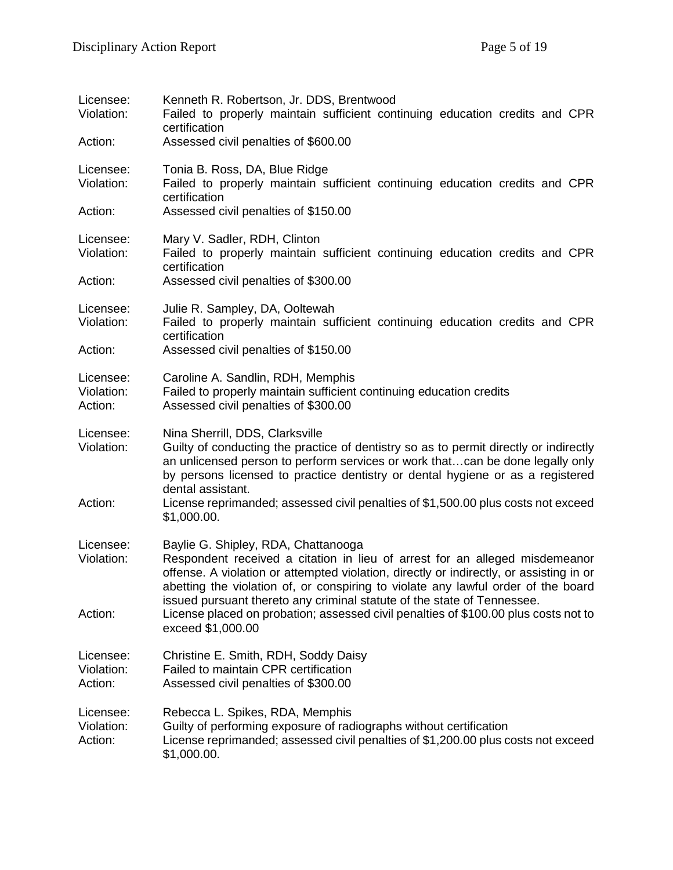| Licensee:<br>Violation:<br>Action: | Kenneth R. Robertson, Jr. DDS, Brentwood<br>Failed to properly maintain sufficient continuing education credits and CPR<br>certification<br>Assessed civil penalties of \$600.00                                                                                                                                                                                                                      |
|------------------------------------|-------------------------------------------------------------------------------------------------------------------------------------------------------------------------------------------------------------------------------------------------------------------------------------------------------------------------------------------------------------------------------------------------------|
| Licensee:<br>Violation:            | Tonia B. Ross, DA, Blue Ridge<br>Failed to properly maintain sufficient continuing education credits and CPR<br>certification                                                                                                                                                                                                                                                                         |
| Action:                            | Assessed civil penalties of \$150.00                                                                                                                                                                                                                                                                                                                                                                  |
| Licensee:<br>Violation:            | Mary V. Sadler, RDH, Clinton<br>Failed to properly maintain sufficient continuing education credits and CPR<br>certification                                                                                                                                                                                                                                                                          |
| Action:                            | Assessed civil penalties of \$300.00                                                                                                                                                                                                                                                                                                                                                                  |
| Licensee:<br>Violation:            | Julie R. Sampley, DA, Ooltewah<br>Failed to properly maintain sufficient continuing education credits and CPR<br>certification                                                                                                                                                                                                                                                                        |
| Action:                            | Assessed civil penalties of \$150.00                                                                                                                                                                                                                                                                                                                                                                  |
| Licensee:<br>Violation:<br>Action: | Caroline A. Sandlin, RDH, Memphis<br>Failed to properly maintain sufficient continuing education credits<br>Assessed civil penalties of \$300.00                                                                                                                                                                                                                                                      |
| Licensee:<br>Violation:<br>Action: | Nina Sherrill, DDS, Clarksville<br>Guilty of conducting the practice of dentistry so as to permit directly or indirectly<br>an unlicensed person to perform services or work thatcan be done legally only<br>by persons licensed to practice dentistry or dental hygiene or as a registered<br>dental assistant.<br>License reprimanded; assessed civil penalties of \$1,500.00 plus costs not exceed |
|                                    | \$1,000.00.                                                                                                                                                                                                                                                                                                                                                                                           |
| Licensee:<br>Violation:            | Baylie G. Shipley, RDA, Chattanooga<br>Respondent received a citation in lieu of arrest for an alleged misdemeanor<br>offense. A violation or attempted violation, directly or indirectly, or assisting in or<br>abetting the violation of, or conspiring to violate any lawful order of the board<br>issued pursuant thereto any criminal statute of the state of Tennessee.                         |
| Action:                            | License placed on probation; assessed civil penalties of \$100.00 plus costs not to<br>exceed \$1,000.00                                                                                                                                                                                                                                                                                              |
| Licensee:<br>Violation:<br>Action: | Christine E. Smith, RDH, Soddy Daisy<br>Failed to maintain CPR certification<br>Assessed civil penalties of \$300.00                                                                                                                                                                                                                                                                                  |
| Licensee:<br>Violation:<br>Action: | Rebecca L. Spikes, RDA, Memphis<br>Guilty of performing exposure of radiographs without certification<br>License reprimanded; assessed civil penalties of \$1,200.00 plus costs not exceed<br>\$1,000.00.                                                                                                                                                                                             |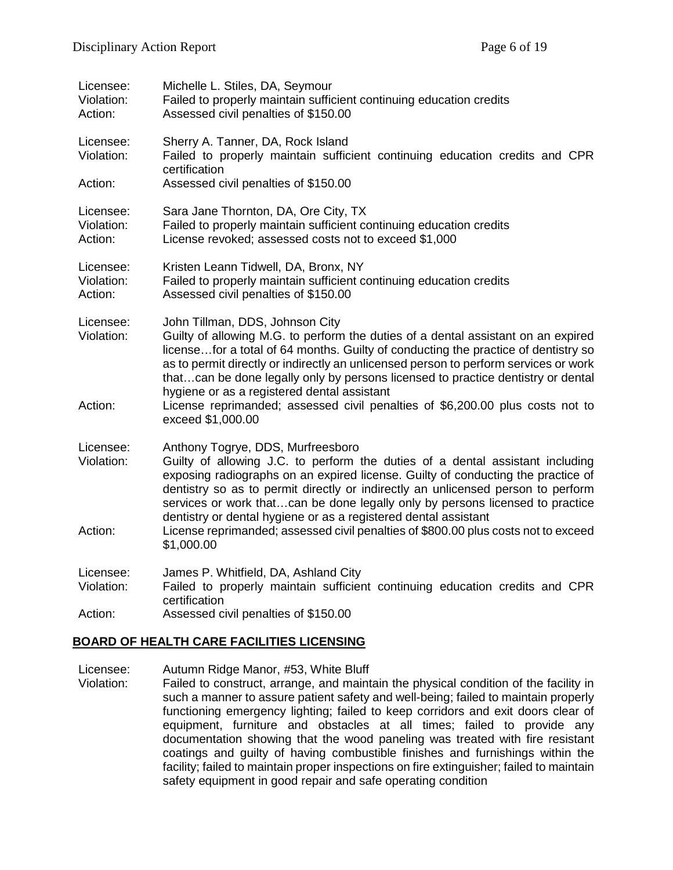| Licensee:<br>Violation:<br>Action: | Michelle L. Stiles, DA, Seymour<br>Failed to properly maintain sufficient continuing education credits<br>Assessed civil penalties of \$150.00                                                                                                                                                                                                                                                                                                                                                                                               |
|------------------------------------|----------------------------------------------------------------------------------------------------------------------------------------------------------------------------------------------------------------------------------------------------------------------------------------------------------------------------------------------------------------------------------------------------------------------------------------------------------------------------------------------------------------------------------------------|
| Licensee:<br>Violation:            | Sherry A. Tanner, DA, Rock Island<br>Failed to properly maintain sufficient continuing education credits and CPR<br>certification                                                                                                                                                                                                                                                                                                                                                                                                            |
| Action:                            | Assessed civil penalties of \$150.00                                                                                                                                                                                                                                                                                                                                                                                                                                                                                                         |
| Licensee:<br>Violation:<br>Action: | Sara Jane Thornton, DA, Ore City, TX<br>Failed to properly maintain sufficient continuing education credits<br>License revoked; assessed costs not to exceed \$1,000                                                                                                                                                                                                                                                                                                                                                                         |
| Licensee:<br>Violation:<br>Action: | Kristen Leann Tidwell, DA, Bronx, NY<br>Failed to properly maintain sufficient continuing education credits<br>Assessed civil penalties of \$150.00                                                                                                                                                                                                                                                                                                                                                                                          |
| Licensee:<br>Violation:<br>Action: | John Tillman, DDS, Johnson City<br>Guilty of allowing M.G. to perform the duties of a dental assistant on an expired<br>license for a total of 64 months. Guilty of conducting the practice of dentistry so<br>as to permit directly or indirectly an unlicensed person to perform services or work<br>thatcan be done legally only by persons licensed to practice dentistry or dental<br>hygiene or as a registered dental assistant<br>License reprimanded; assessed civil penalties of \$6,200.00 plus costs not to<br>exceed \$1,000.00 |
| Licensee:<br>Violation:<br>Action: | Anthony Togrye, DDS, Murfreesboro<br>Guilty of allowing J.C. to perform the duties of a dental assistant including<br>exposing radiographs on an expired license. Guilty of conducting the practice of<br>dentistry so as to permit directly or indirectly an unlicensed person to perform<br>services or work thatcan be done legally only by persons licensed to practice<br>dentistry or dental hygiene or as a registered dental assistant<br>License reprimanded; assessed civil penalties of \$800.00 plus costs not to exceed         |
|                                    | \$1,000.00                                                                                                                                                                                                                                                                                                                                                                                                                                                                                                                                   |
| Licensee:<br>Violation:            | James P. Whitfield, DA, Ashland City<br>Failed to properly maintain sufficient continuing education credits and CPR                                                                                                                                                                                                                                                                                                                                                                                                                          |
|                                    | certification                                                                                                                                                                                                                                                                                                                                                                                                                                                                                                                                |
| Action:                            | Assessed civil penalties of \$150.00                                                                                                                                                                                                                                                                                                                                                                                                                                                                                                         |

#### **BOARD OF HEALTH CARE FACILITIES LICENSING**

Licensee: Autumn Ridge Manor, #53, White Bluff<br>Violation: Failed to construct, arrange, and maint Failed to construct, arrange, and maintain the physical condition of the facility in such a manner to assure patient safety and well-being; failed to maintain properly functioning emergency lighting; failed to keep corridors and exit doors clear of equipment, furniture and obstacles at all times; failed to provide any documentation showing that the wood paneling was treated with fire resistant coatings and guilty of having combustible finishes and furnishings within the facility; failed to maintain proper inspections on fire extinguisher; failed to maintain safety equipment in good repair and safe operating condition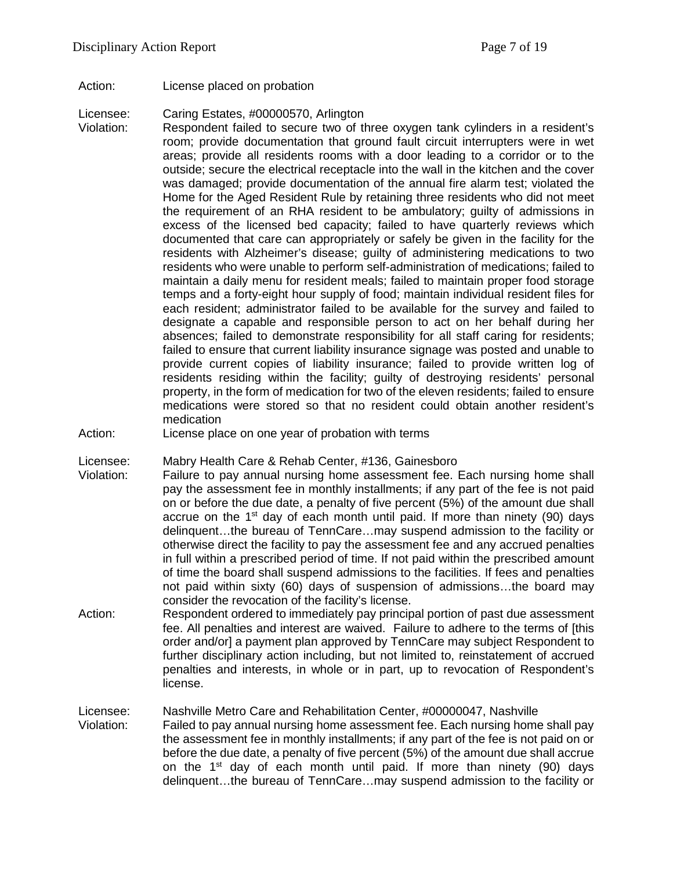Action: License placed on probation

Licensee: Caring Estates, #00000570, Arlington

- Violation: Respondent failed to secure two of three oxygen tank cylinders in a resident's room; provide documentation that ground fault circuit interrupters were in wet areas; provide all residents rooms with a door leading to a corridor or to the outside; secure the electrical receptacle into the wall in the kitchen and the cover was damaged; provide documentation of the annual fire alarm test; violated the Home for the Aged Resident Rule by retaining three residents who did not meet the requirement of an RHA resident to be ambulatory; guilty of admissions in excess of the licensed bed capacity; failed to have quarterly reviews which documented that care can appropriately or safely be given in the facility for the residents with Alzheimer's disease; guilty of administering medications to two residents who were unable to perform self-administration of medications; failed to maintain a daily menu for resident meals; failed to maintain proper food storage temps and a forty-eight hour supply of food; maintain individual resident files for each resident; administrator failed to be available for the survey and failed to designate a capable and responsible person to act on her behalf during her absences; failed to demonstrate responsibility for all staff caring for residents; failed to ensure that current liability insurance signage was posted and unable to provide current copies of liability insurance; failed to provide written log of residents residing within the facility; guilty of destroying residents' personal property, in the form of medication for two of the eleven residents; failed to ensure medications were stored so that no resident could obtain another resident's medication
- Action: License place on one year of probation with terms

Licensee: Mabry Health Care & Rehab Center, #136, Gainesboro

- Violation: Failure to pay annual nursing home assessment fee. Each nursing home shall pay the assessment fee in monthly installments; if any part of the fee is not paid on or before the due date, a penalty of five percent (5%) of the amount due shall accrue on the 1<sup>st</sup> day of each month until paid. If more than ninety (90) days delinquent…the bureau of TennCare…may suspend admission to the facility or otherwise direct the facility to pay the assessment fee and any accrued penalties in full within a prescribed period of time. If not paid within the prescribed amount of time the board shall suspend admissions to the facilities. If fees and penalties not paid within sixty (60) days of suspension of admissions…the board may consider the revocation of the facility's license.
- Action: Respondent ordered to immediately pay principal portion of past due assessment fee. All penalties and interest are waived. Failure to adhere to the terms of [this order and/or] a payment plan approved by TennCare may subject Respondent to further disciplinary action including, but not limited to, reinstatement of accrued penalties and interests, in whole or in part, up to revocation of Respondent's license.

Licensee: Nashville Metro Care and Rehabilitation Center, #00000047, Nashville

Violation: Failed to pay annual nursing home assessment fee. Each nursing home shall pay the assessment fee in monthly installments; if any part of the fee is not paid on or before the due date, a penalty of five percent (5%) of the amount due shall accrue on the 1<sup>st</sup> day of each month until paid. If more than ninety (90) days delinquent…the bureau of TennCare…may suspend admission to the facility or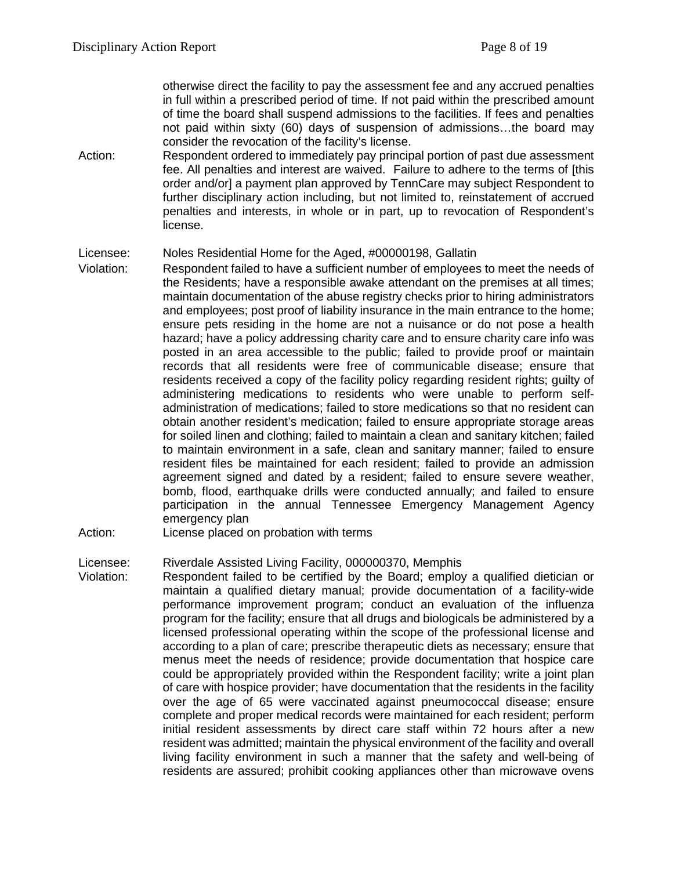otherwise direct the facility to pay the assessment fee and any accrued penalties in full within a prescribed period of time. If not paid within the prescribed amount of time the board shall suspend admissions to the facilities. If fees and penalties not paid within sixty (60) days of suspension of admissions…the board may consider the revocation of the facility's license.

Action: Respondent ordered to immediately pay principal portion of past due assessment fee. All penalties and interest are waived. Failure to adhere to the terms of [this order and/or] a payment plan approved by TennCare may subject Respondent to further disciplinary action including, but not limited to, reinstatement of accrued penalties and interests, in whole or in part, up to revocation of Respondent's license.

### Licensee: Noles Residential Home for the Aged, #00000198, Gallatin

- Violation: Respondent failed to have a sufficient number of employees to meet the needs of the Residents; have a responsible awake attendant on the premises at all times; maintain documentation of the abuse registry checks prior to hiring administrators and employees; post proof of liability insurance in the main entrance to the home; ensure pets residing in the home are not a nuisance or do not pose a health hazard; have a policy addressing charity care and to ensure charity care info was posted in an area accessible to the public; failed to provide proof or maintain records that all residents were free of communicable disease; ensure that residents received a copy of the facility policy regarding resident rights; guilty of administering medications to residents who were unable to perform selfadministration of medications; failed to store medications so that no resident can obtain another resident's medication; failed to ensure appropriate storage areas for soiled linen and clothing; failed to maintain a clean and sanitary kitchen; failed to maintain environment in a safe, clean and sanitary manner; failed to ensure resident files be maintained for each resident; failed to provide an admission agreement signed and dated by a resident; failed to ensure severe weather, bomb, flood, earthquake drills were conducted annually; and failed to ensure participation in the annual Tennessee Emergency Management Agency emergency plan
- Action: License placed on probation with terms

### Licensee: Riverdale Assisted Living Facility, 000000370, Memphis

Violation: Respondent failed to be certified by the Board; employ a qualified dietician or maintain a qualified dietary manual; provide documentation of a facility-wide performance improvement program; conduct an evaluation of the influenza program for the facility; ensure that all drugs and biologicals be administered by a licensed professional operating within the scope of the professional license and according to a plan of care; prescribe therapeutic diets as necessary; ensure that menus meet the needs of residence; provide documentation that hospice care could be appropriately provided within the Respondent facility; write a joint plan of care with hospice provider; have documentation that the residents in the facility over the age of 65 were vaccinated against pneumococcal disease; ensure complete and proper medical records were maintained for each resident; perform initial resident assessments by direct care staff within 72 hours after a new resident was admitted; maintain the physical environment of the facility and overall living facility environment in such a manner that the safety and well-being of residents are assured; prohibit cooking appliances other than microwave ovens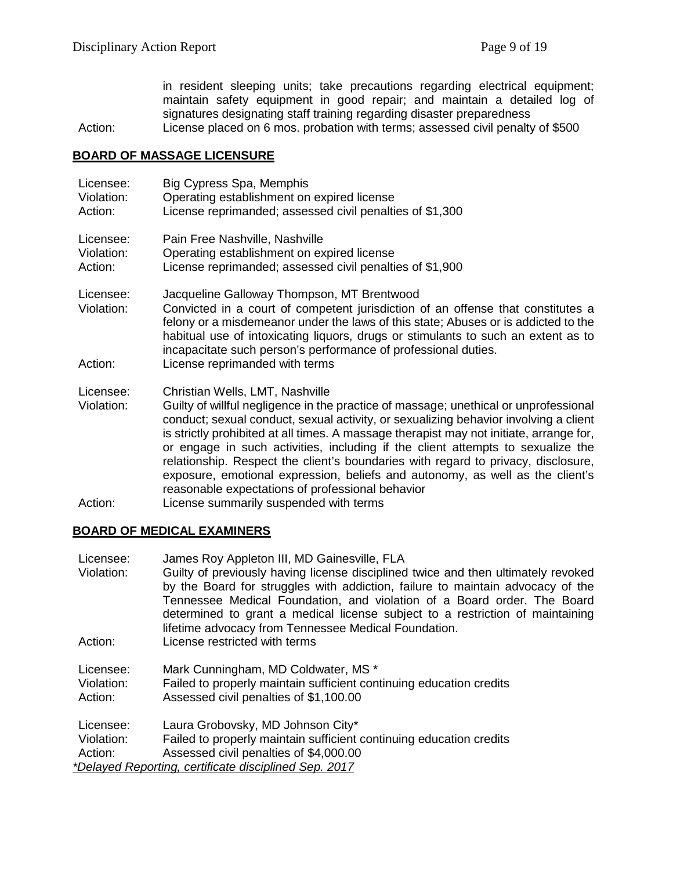in resident sleeping units; take precautions regarding electrical equipment; maintain safety equipment in good repair; and maintain a detailed log of signatures designating staff training regarding disaster preparedness

Action: License placed on 6 mos. probation with terms; assessed civil penalty of \$500

### **BOARD OF MASSAGE LICENSURE**

| Licensee:<br>Violation:<br>Action: | Big Cypress Spa, Memphis<br>Operating establishment on expired license<br>License reprimanded; assessed civil penalties of \$1,300                                                                                                                                                                                                                                                                                                                                                                                                                                                                                      |
|------------------------------------|-------------------------------------------------------------------------------------------------------------------------------------------------------------------------------------------------------------------------------------------------------------------------------------------------------------------------------------------------------------------------------------------------------------------------------------------------------------------------------------------------------------------------------------------------------------------------------------------------------------------------|
| Licensee:<br>Violation:<br>Action: | Pain Free Nashville, Nashville<br>Operating establishment on expired license<br>License reprimanded; assessed civil penalties of \$1,900                                                                                                                                                                                                                                                                                                                                                                                                                                                                                |
| Licensee:<br>Violation:<br>Action: | Jacqueline Galloway Thompson, MT Brentwood<br>Convicted in a court of competent jurisdiction of an offense that constitutes a<br>felony or a misdemeanor under the laws of this state; Abuses or is addicted to the<br>habitual use of intoxicating liquors, drugs or stimulants to such an extent as to<br>incapacitate such person's performance of professional duties.<br>License reprimanded with terms                                                                                                                                                                                                            |
|                                    |                                                                                                                                                                                                                                                                                                                                                                                                                                                                                                                                                                                                                         |
| Licensee:<br>Violation:            | Christian Wells, LMT, Nashville<br>Guilty of willful negligence in the practice of massage; unethical or unprofessional<br>conduct; sexual conduct, sexual activity, or sexualizing behavior involving a client<br>is strictly prohibited at all times. A massage therapist may not initiate, arrange for,<br>or engage in such activities, including if the client attempts to sexualize the<br>relationship. Respect the client's boundaries with regard to privacy, disclosure,<br>exposure, emotional expression, beliefs and autonomy, as well as the client's<br>reasonable expectations of professional behavior |
| Action:                            | License summarily suspended with terms                                                                                                                                                                                                                                                                                                                                                                                                                                                                                                                                                                                  |

### **BOARD OF MEDICAL EXAMINERS**

| Licensee:                                             | James Roy Appleton III, MD Gainesville, FLA                                       |
|-------------------------------------------------------|-----------------------------------------------------------------------------------|
| Violation:                                            | Guilty of previously having license disciplined twice and then ultimately revoked |
|                                                       | by the Board for struggles with addiction, failure to maintain advocacy of the    |
|                                                       | Tennessee Medical Foundation, and violation of a Board order. The Board           |
|                                                       | determined to grant a medical license subject to a restriction of maintaining     |
|                                                       | lifetime advocacy from Tennessee Medical Foundation.                              |
| Action:                                               | License restricted with terms                                                     |
|                                                       |                                                                                   |
| Licensee:                                             | Mark Cunningham, MD Coldwater, MS *                                               |
| Violation:                                            | Failed to properly maintain sufficient continuing education credits               |
| Action:                                               | Assessed civil penalties of \$1,100.00                                            |
|                                                       |                                                                                   |
| Licensee:                                             | Laura Grobovsky, MD Johnson City*                                                 |
| Violation:                                            | Failed to properly maintain sufficient continuing education credits               |
| Action:                                               | Assessed civil penalties of \$4,000.00                                            |
| *Delayed Reporting, certificate disciplined Sep. 2017 |                                                                                   |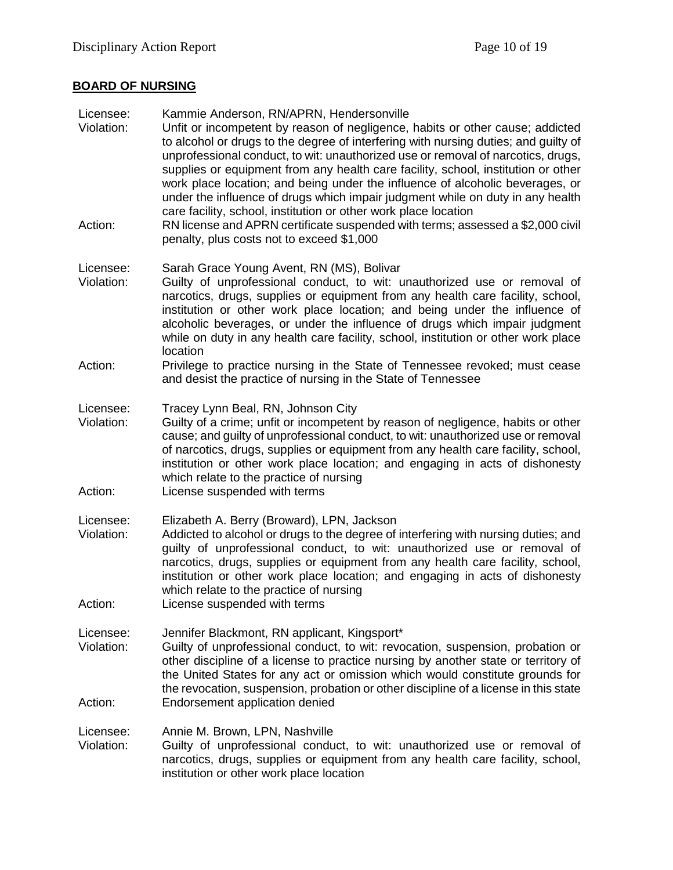# **BOARD OF NURSING**

| Licensee:<br>Violation:            | Kammie Anderson, RN/APRN, Hendersonville<br>Unfit or incompetent by reason of negligence, habits or other cause; addicted<br>to alcohol or drugs to the degree of interfering with nursing duties; and guilty of<br>unprofessional conduct, to wit: unauthorized use or removal of narcotics, drugs,<br>supplies or equipment from any health care facility, school, institution or other<br>work place location; and being under the influence of alcoholic beverages, or<br>under the influence of drugs which impair judgment while on duty in any health |
|------------------------------------|--------------------------------------------------------------------------------------------------------------------------------------------------------------------------------------------------------------------------------------------------------------------------------------------------------------------------------------------------------------------------------------------------------------------------------------------------------------------------------------------------------------------------------------------------------------|
| Action:                            | care facility, school, institution or other work place location<br>RN license and APRN certificate suspended with terms; assessed a \$2,000 civil<br>penalty, plus costs not to exceed \$1,000                                                                                                                                                                                                                                                                                                                                                               |
| Licensee:<br>Violation:            | Sarah Grace Young Avent, RN (MS), Bolivar<br>Guilty of unprofessional conduct, to wit: unauthorized use or removal of<br>narcotics, drugs, supplies or equipment from any health care facility, school,<br>institution or other work place location; and being under the influence of<br>alcoholic beverages, or under the influence of drugs which impair judgment<br>while on duty in any health care facility, school, institution or other work place<br>location                                                                                        |
| Action:                            | Privilege to practice nursing in the State of Tennessee revoked; must cease<br>and desist the practice of nursing in the State of Tennessee                                                                                                                                                                                                                                                                                                                                                                                                                  |
| Licensee:<br>Violation:<br>Action: | Tracey Lynn Beal, RN, Johnson City<br>Guilty of a crime; unfit or incompetent by reason of negligence, habits or other<br>cause; and guilty of unprofessional conduct, to wit: unauthorized use or removal<br>of narcotics, drugs, supplies or equipment from any health care facility, school,<br>institution or other work place location; and engaging in acts of dishonesty<br>which relate to the practice of nursing<br>License suspended with terms                                                                                                   |
| Licensee:<br>Violation:<br>Action: | Elizabeth A. Berry (Broward), LPN, Jackson<br>Addicted to alcohol or drugs to the degree of interfering with nursing duties; and<br>guilty of unprofessional conduct, to wit: unauthorized use or removal of<br>narcotics, drugs, supplies or equipment from any health care facility, school,<br>institution or other work place location; and engaging in acts of dishonesty<br>which relate to the practice of nursing<br>License suspended with terms                                                                                                    |
| Licensee:<br>Violation:<br>Action: | Jennifer Blackmont, RN applicant, Kingsport*<br>Guilty of unprofessional conduct, to wit: revocation, suspension, probation or<br>other discipline of a license to practice nursing by another state or territory of<br>the United States for any act or omission which would constitute grounds for<br>the revocation, suspension, probation or other discipline of a license in this state<br>Endorsement application denied                                                                                                                               |
| Licensee:<br>Violation:            | Annie M. Brown, LPN, Nashville<br>Guilty of unprofessional conduct, to wit: unauthorized use or removal of<br>narcotics, drugs, supplies or equipment from any health care facility, school,<br>institution or other work place location                                                                                                                                                                                                                                                                                                                     |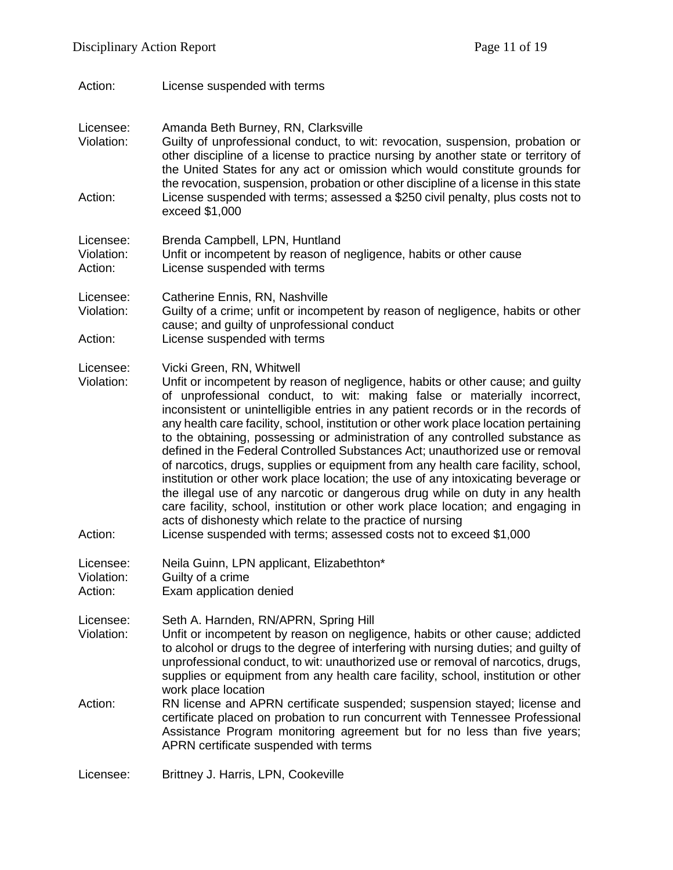| License suspended with terms                                                                                                                                                                                                                                                                                                                                                                                                                                                                                                                                                                                                                                                                                                                                                                                                                                                                                                                                                                                                 |
|------------------------------------------------------------------------------------------------------------------------------------------------------------------------------------------------------------------------------------------------------------------------------------------------------------------------------------------------------------------------------------------------------------------------------------------------------------------------------------------------------------------------------------------------------------------------------------------------------------------------------------------------------------------------------------------------------------------------------------------------------------------------------------------------------------------------------------------------------------------------------------------------------------------------------------------------------------------------------------------------------------------------------|
| Amanda Beth Burney, RN, Clarksville<br>Guilty of unprofessional conduct, to wit: revocation, suspension, probation or<br>other discipline of a license to practice nursing by another state or territory of<br>the United States for any act or omission which would constitute grounds for<br>the revocation, suspension, probation or other discipline of a license in this state<br>License suspended with terms; assessed a \$250 civil penalty, plus costs not to<br>exceed \$1,000                                                                                                                                                                                                                                                                                                                                                                                                                                                                                                                                     |
| Brenda Campbell, LPN, Huntland<br>Unfit or incompetent by reason of negligence, habits or other cause<br>License suspended with terms                                                                                                                                                                                                                                                                                                                                                                                                                                                                                                                                                                                                                                                                                                                                                                                                                                                                                        |
| Catherine Ennis, RN, Nashville<br>Guilty of a crime; unfit or incompetent by reason of negligence, habits or other<br>cause; and guilty of unprofessional conduct<br>License suspended with terms                                                                                                                                                                                                                                                                                                                                                                                                                                                                                                                                                                                                                                                                                                                                                                                                                            |
| Vicki Green, RN, Whitwell<br>Unfit or incompetent by reason of negligence, habits or other cause; and guilty<br>of unprofessional conduct, to wit: making false or materially incorrect,<br>inconsistent or unintelligible entries in any patient records or in the records of<br>any health care facility, school, institution or other work place location pertaining<br>to the obtaining, possessing or administration of any controlled substance as<br>defined in the Federal Controlled Substances Act; unauthorized use or removal<br>of narcotics, drugs, supplies or equipment from any health care facility, school,<br>institution or other work place location; the use of any intoxicating beverage or<br>the illegal use of any narcotic or dangerous drug while on duty in any health<br>care facility, school, institution or other work place location; and engaging in<br>acts of dishonesty which relate to the practice of nursing<br>License suspended with terms; assessed costs not to exceed \$1,000 |
| Neila Guinn, LPN applicant, Elizabethton*<br>Guilty of a crime<br>Exam application denied                                                                                                                                                                                                                                                                                                                                                                                                                                                                                                                                                                                                                                                                                                                                                                                                                                                                                                                                    |
| Seth A. Harnden, RN/APRN, Spring Hill<br>Unfit or incompetent by reason on negligence, habits or other cause; addicted<br>to alcohol or drugs to the degree of interfering with nursing duties; and guilty of<br>unprofessional conduct, to wit: unauthorized use or removal of narcotics, drugs,<br>supplies or equipment from any health care facility, school, institution or other<br>work place location<br>RN license and APRN certificate suspended; suspension stayed; license and<br>certificate placed on probation to run concurrent with Tennessee Professional<br>Assistance Program monitoring agreement but for no less than five years;<br>APRN certificate suspended with terms                                                                                                                                                                                                                                                                                                                             |
|                                                                                                                                                                                                                                                                                                                                                                                                                                                                                                                                                                                                                                                                                                                                                                                                                                                                                                                                                                                                                              |

Licensee: Brittney J. Harris, LPN, Cookeville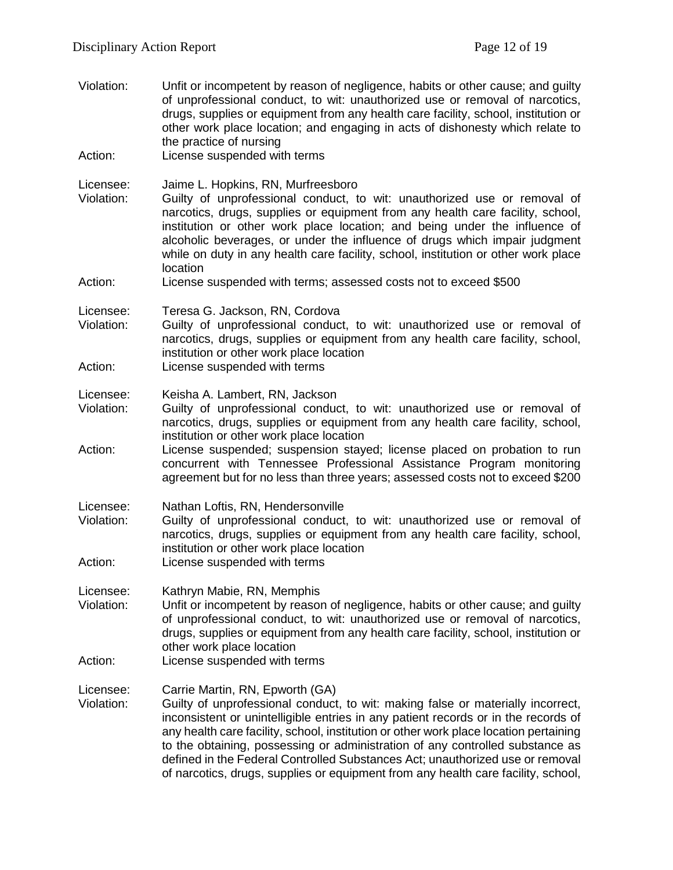Violation: Unfit or incompetent by reason of negligence, habits or other cause; and guilty of unprofessional conduct, to wit: unauthorized use or removal of narcotics, drugs, supplies or equipment from any health care facility, school, institution or other work place location; and engaging in acts of dishonesty which relate to the practice of nursing Action: License suspended with terms Licensee: Jaime L. Hopkins, RN, Murfreesboro Violation: Guilty of unprofessional conduct, to wit: unauthorized use or removal of narcotics, drugs, supplies or equipment from any health care facility, school, institution or other work place location; and being under the influence of alcoholic beverages, or under the influence of drugs which impair judgment while on duty in any health care facility, school, institution or other work place location Action: License suspended with terms; assessed costs not to exceed \$500 Licensee: Teresa G. Jackson, RN, Cordova Violation: Guilty of unprofessional conduct, to wit: unauthorized use or removal of narcotics, drugs, supplies or equipment from any health care facility, school, institution or other work place location Action: License suspended with terms Licensee: Keisha A. Lambert, RN, Jackson Violation: Guilty of unprofessional conduct, to wit: unauthorized use or removal of narcotics, drugs, supplies or equipment from any health care facility, school, institution or other work place location Action: License suspended; suspension stayed; license placed on probation to run concurrent with Tennessee Professional Assistance Program monitoring agreement but for no less than three years; assessed costs not to exceed \$200 Licensee: Nathan Loftis, RN, Hendersonville Violation: Guilty of unprofessional conduct, to wit: unauthorized use or removal of narcotics, drugs, supplies or equipment from any health care facility, school, institution or other work place location Action: License suspended with terms Licensee: Kathryn Mabie, RN, Memphis Violation: Unfit or incompetent by reason of negligence, habits or other cause; and guilty of unprofessional conduct, to wit: unauthorized use or removal of narcotics, drugs, supplies or equipment from any health care facility, school, institution or other work place location Action: License suspended with terms Licensee: Carrie Martin, RN, Epworth (GA) Violation: Guilty of unprofessional conduct, to wit: making false or materially incorrect, inconsistent or unintelligible entries in any patient records or in the records of any health care facility, school, institution or other work place location pertaining to the obtaining, possessing or administration of any controlled substance as defined in the Federal Controlled Substances Act; unauthorized use or removal of narcotics, drugs, supplies or equipment from any health care facility, school,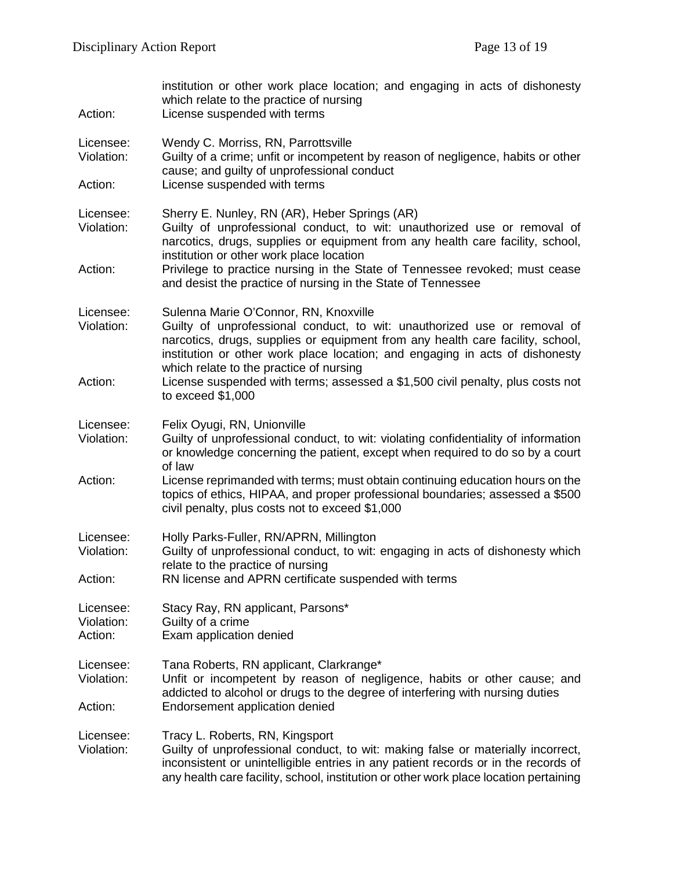| Action:                            | institution or other work place location; and engaging in acts of dishonesty<br>which relate to the practice of nursing<br>License suspended with terms                                                                                                                                                                        |
|------------------------------------|--------------------------------------------------------------------------------------------------------------------------------------------------------------------------------------------------------------------------------------------------------------------------------------------------------------------------------|
| Licensee:<br>Violation:            | Wendy C. Morriss, RN, Parrottsville<br>Guilty of a crime; unfit or incompetent by reason of negligence, habits or other<br>cause; and guilty of unprofessional conduct                                                                                                                                                         |
| Action:                            | License suspended with terms                                                                                                                                                                                                                                                                                                   |
| Licensee:<br>Violation:            | Sherry E. Nunley, RN (AR), Heber Springs (AR)<br>Guilty of unprofessional conduct, to wit: unauthorized use or removal of<br>narcotics, drugs, supplies or equipment from any health care facility, school,<br>institution or other work place location                                                                        |
| Action:                            | Privilege to practice nursing in the State of Tennessee revoked; must cease<br>and desist the practice of nursing in the State of Tennessee                                                                                                                                                                                    |
| Licensee:<br>Violation:            | Sulenna Marie O'Connor, RN, Knoxville<br>Guilty of unprofessional conduct, to wit: unauthorized use or removal of<br>narcotics, drugs, supplies or equipment from any health care facility, school,<br>institution or other work place location; and engaging in acts of dishonesty<br>which relate to the practice of nursing |
| Action:                            | License suspended with terms; assessed a \$1,500 civil penalty, plus costs not<br>to exceed $$1,000$                                                                                                                                                                                                                           |
| Licensee:<br>Violation:            | Felix Oyugi, RN, Unionville<br>Guilty of unprofessional conduct, to wit: violating confidentiality of information<br>or knowledge concerning the patient, except when required to do so by a court<br>of law                                                                                                                   |
| Action:                            | License reprimanded with terms; must obtain continuing education hours on the<br>topics of ethics, HIPAA, and proper professional boundaries; assessed a \$500<br>civil penalty, plus costs not to exceed \$1,000                                                                                                              |
| Licensee:<br>Violation:            | Holly Parks-Fuller, RN/APRN, Millington<br>Guilty of unprofessional conduct, to wit: engaging in acts of dishonesty which<br>relate to the practice of nursing                                                                                                                                                                 |
| Action:                            | RN license and APRN certificate suspended with terms                                                                                                                                                                                                                                                                           |
| Licensee:<br>Violation:<br>Action: | Stacy Ray, RN applicant, Parsons*<br>Guilty of a crime<br>Exam application denied                                                                                                                                                                                                                                              |
| Licensee:<br>Violation:            | Tana Roberts, RN applicant, Clarkrange*<br>Unfit or incompetent by reason of negligence, habits or other cause; and<br>addicted to alcohol or drugs to the degree of interfering with nursing duties                                                                                                                           |
| Action:                            | Endorsement application denied                                                                                                                                                                                                                                                                                                 |
| Licensee:<br>Violation:            | Tracy L. Roberts, RN, Kingsport<br>Guilty of unprofessional conduct, to wit: making false or materially incorrect,<br>inconsistent or unintelligible entries in any patient records or in the records of<br>any health care facility, school, institution or other work place location pertaining                              |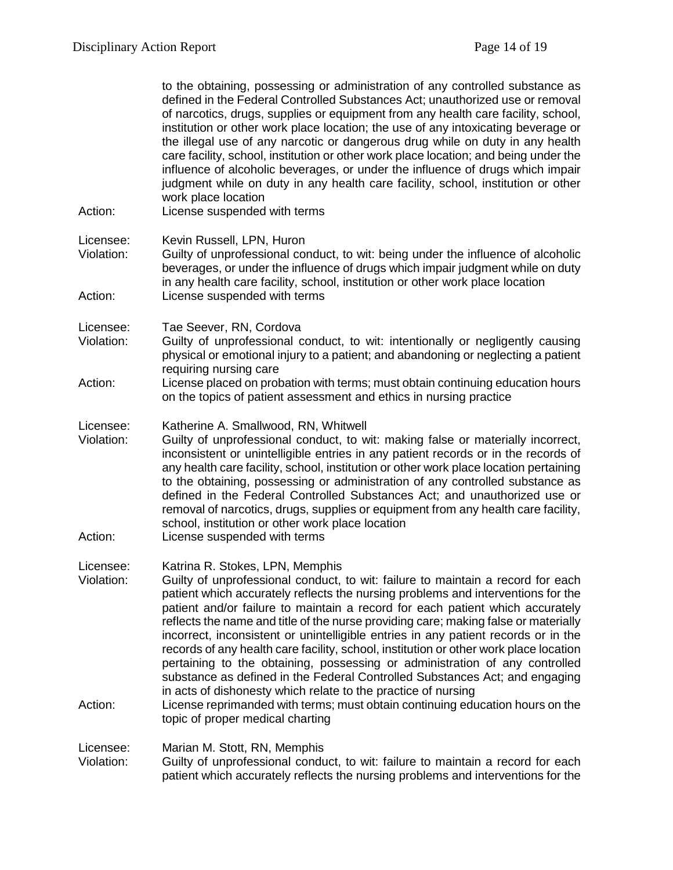|                                    | to the obtaining, possessing or administration of any controlled substance as<br>defined in the Federal Controlled Substances Act; unauthorized use or removal<br>of narcotics, drugs, supplies or equipment from any health care facility, school,<br>institution or other work place location; the use of any intoxicating beverage or<br>the illegal use of any narcotic or dangerous drug while on duty in any health<br>care facility, school, institution or other work place location; and being under the<br>influence of alcoholic beverages, or under the influence of drugs which impair<br>judgment while on duty in any health care facility, school, institution or other<br>work place location                                                                                                                                                                |
|------------------------------------|-------------------------------------------------------------------------------------------------------------------------------------------------------------------------------------------------------------------------------------------------------------------------------------------------------------------------------------------------------------------------------------------------------------------------------------------------------------------------------------------------------------------------------------------------------------------------------------------------------------------------------------------------------------------------------------------------------------------------------------------------------------------------------------------------------------------------------------------------------------------------------|
| Action:                            | License suspended with terms                                                                                                                                                                                                                                                                                                                                                                                                                                                                                                                                                                                                                                                                                                                                                                                                                                                  |
| Licensee:<br>Violation:            | Kevin Russell, LPN, Huron<br>Guilty of unprofessional conduct, to wit: being under the influence of alcoholic<br>beverages, or under the influence of drugs which impair judgment while on duty<br>in any health care facility, school, institution or other work place location                                                                                                                                                                                                                                                                                                                                                                                                                                                                                                                                                                                              |
| Action:                            | License suspended with terms                                                                                                                                                                                                                                                                                                                                                                                                                                                                                                                                                                                                                                                                                                                                                                                                                                                  |
| Licensee:<br>Violation:            | Tae Seever, RN, Cordova<br>Guilty of unprofessional conduct, to wit: intentionally or negligently causing<br>physical or emotional injury to a patient; and abandoning or neglecting a patient<br>requiring nursing care                                                                                                                                                                                                                                                                                                                                                                                                                                                                                                                                                                                                                                                      |
| Action:                            | License placed on probation with terms; must obtain continuing education hours<br>on the topics of patient assessment and ethics in nursing practice                                                                                                                                                                                                                                                                                                                                                                                                                                                                                                                                                                                                                                                                                                                          |
| Licensee:<br>Violation:            | Katherine A. Smallwood, RN, Whitwell<br>Guilty of unprofessional conduct, to wit: making false or materially incorrect,<br>inconsistent or unintelligible entries in any patient records or in the records of<br>any health care facility, school, institution or other work place location pertaining<br>to the obtaining, possessing or administration of any controlled substance as<br>defined in the Federal Controlled Substances Act; and unauthorized use or<br>removal of narcotics, drugs, supplies or equipment from any health care facility,<br>school, institution or other work place location                                                                                                                                                                                                                                                                 |
| Action:                            | License suspended with terms                                                                                                                                                                                                                                                                                                                                                                                                                                                                                                                                                                                                                                                                                                                                                                                                                                                  |
| Licensee:<br>Violation:<br>Action: | Katrina R. Stokes, LPN, Memphis<br>Guilty of unprofessional conduct, to wit: failure to maintain a record for each<br>patient which accurately reflects the nursing problems and interventions for the<br>patient and/or failure to maintain a record for each patient which accurately<br>reflects the name and title of the nurse providing care; making false or materially<br>incorrect, inconsistent or unintelligible entries in any patient records or in the<br>records of any health care facility, school, institution or other work place location<br>pertaining to the obtaining, possessing or administration of any controlled<br>substance as defined in the Federal Controlled Substances Act; and engaging<br>in acts of dishonesty which relate to the practice of nursing<br>License reprimanded with terms; must obtain continuing education hours on the |
|                                    | topic of proper medical charting                                                                                                                                                                                                                                                                                                                                                                                                                                                                                                                                                                                                                                                                                                                                                                                                                                              |
| Licensee:<br>Violation:            | Marian M. Stott, RN, Memphis<br>Guilty of unprofessional conduct, to wit: failure to maintain a record for each<br>patient which accurately reflects the nursing problems and interventions for the                                                                                                                                                                                                                                                                                                                                                                                                                                                                                                                                                                                                                                                                           |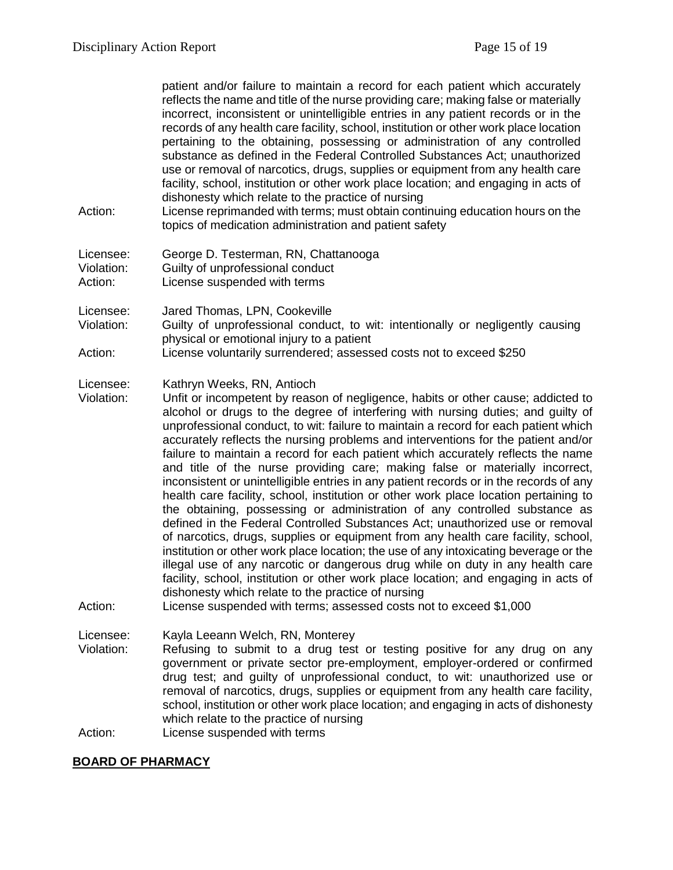patient and/or failure to maintain a record for each patient which accurately reflects the name and title of the nurse providing care; making false or materially incorrect, inconsistent or unintelligible entries in any patient records or in the records of any health care facility, school, institution or other work place location pertaining to the obtaining, possessing or administration of any controlled substance as defined in the Federal Controlled Substances Act; unauthorized use or removal of narcotics, drugs, supplies or equipment from any health care facility, school, institution or other work place location; and engaging in acts of dishonesty which relate to the practice of nursing

- Action: License reprimanded with terms; must obtain continuing education hours on the topics of medication administration and patient safety
- Licensee: George D. Testerman, RN, Chattanooga Violation: Guilty of unprofessional conduct Action: License suspended with terms

Licensee: Jared Thomas, LPN, Cookeville

- Violation: Guilty of unprofessional conduct, to wit: intentionally or negligently causing physical or emotional injury to a patient
- Action: License voluntarily surrendered; assessed costs not to exceed \$250

#### Licensee: Kathryn Weeks, RN, Antioch

- Violation: Unfit or incompetent by reason of negligence, habits or other cause; addicted to alcohol or drugs to the degree of interfering with nursing duties; and guilty of unprofessional conduct, to wit: failure to maintain a record for each patient which accurately reflects the nursing problems and interventions for the patient and/or failure to maintain a record for each patient which accurately reflects the name and title of the nurse providing care; making false or materially incorrect, inconsistent or unintelligible entries in any patient records or in the records of any health care facility, school, institution or other work place location pertaining to the obtaining, possessing or administration of any controlled substance as defined in the Federal Controlled Substances Act; unauthorized use or removal of narcotics, drugs, supplies or equipment from any health care facility, school, institution or other work place location; the use of any intoxicating beverage or the illegal use of any narcotic or dangerous drug while on duty in any health care facility, school, institution or other work place location; and engaging in acts of dishonesty which relate to the practice of nursing
- Action: License suspended with terms; assessed costs not to exceed \$1,000

Licensee: Kayla Leeann Welch, RN, Monterey<br>Violation: Refusing to submit to a drug test

Refusing to submit to a drug test or testing positive for any drug on any government or private sector pre-employment, employer-ordered or confirmed drug test; and guilty of unprofessional conduct, to wit: unauthorized use or removal of narcotics, drugs, supplies or equipment from any health care facility, school, institution or other work place location; and engaging in acts of dishonesty which relate to the practice of nursing

Action: License suspended with terms

### **BOARD OF PHARMACY**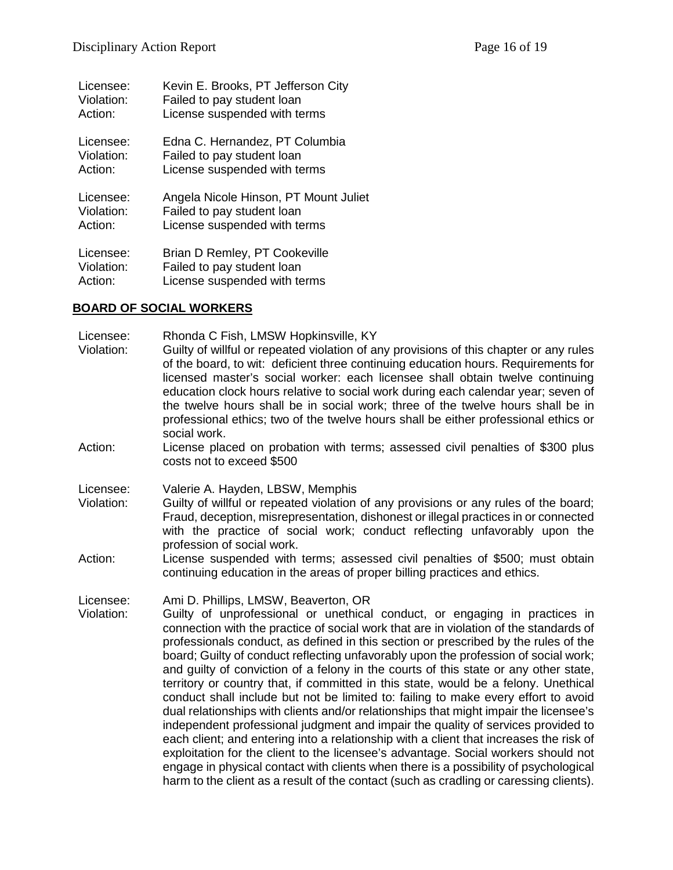| Licensee:  | Kevin E. Brooks, PT Jefferson City    |
|------------|---------------------------------------|
| Violation: | Failed to pay student loan            |
| Action:    | License suspended with terms          |
| Licensee:  | Edna C. Hernandez, PT Columbia        |
| Violation: | Failed to pay student loan            |
| Action:    | License suspended with terms          |
| Licensee:  | Angela Nicole Hinson, PT Mount Juliet |
| Violation: | Failed to pay student loan            |
| Action:    | License suspended with terms          |
| Licensee:  | Brian D Remley, PT Cookeville         |
| Violation: | Failed to pay student loan            |
| Action:    | License suspended with terms          |

### **BOARD OF SOCIAL WORKERS**

Licensee: Rhonda C Fish, LMSW Hopkinsville, KY

- Violation: Guilty of willful or repeated violation of any provisions of this chapter or any rules of the board, to wit: deficient three continuing education hours. Requirements for licensed master's social worker: each licensee shall obtain twelve continuing education clock hours relative to social work during each calendar year; seven of the twelve hours shall be in social work; three of the twelve hours shall be in professional ethics; two of the twelve hours shall be either professional ethics or social work.
- Action: License placed on probation with terms; assessed civil penalties of \$300 plus costs not to exceed \$500

Licensee: Valerie A. Hayden, LBSW, Memphis

- Violation: Guilty of willful or repeated violation of any provisions or any rules of the board; Fraud, deception, misrepresentation, dishonest or illegal practices in or connected with the practice of social work; conduct reflecting unfavorably upon the profession of social work.
- Action: License suspended with terms; assessed civil penalties of \$500; must obtain continuing education in the areas of proper billing practices and ethics.

Licensee: Ami D. Phillips, LMSW, Beaverton, OR

Guilty of unprofessional or unethical conduct, or engaging in practices in connection with the practice of social work that are in violation of the standards of professionals conduct, as defined in this section or prescribed by the rules of the board; Guilty of conduct reflecting unfavorably upon the profession of social work; and guilty of conviction of a felony in the courts of this state or any other state, territory or country that, if committed in this state, would be a felony. Unethical conduct shall include but not be limited to: failing to make every effort to avoid dual relationships with clients and/or relationships that might impair the licensee's independent professional judgment and impair the quality of services provided to each client; and entering into a relationship with a client that increases the risk of exploitation for the client to the licensee's advantage. Social workers should not engage in physical contact with clients when there is a possibility of psychological harm to the client as a result of the contact (such as cradling or caressing clients).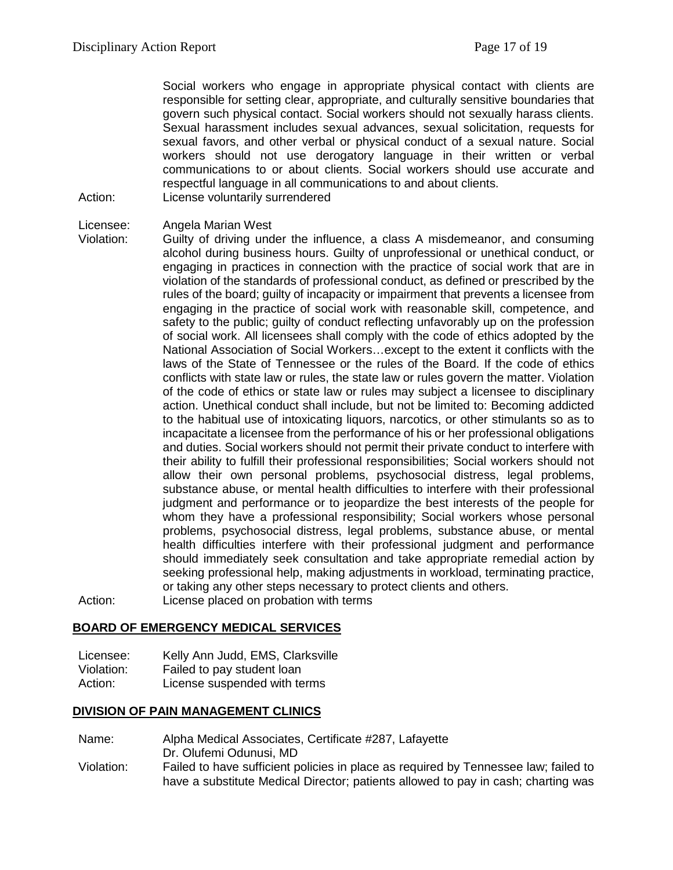Social workers who engage in appropriate physical contact with clients are responsible for setting clear, appropriate, and culturally sensitive boundaries that govern such physical contact. Social workers should not sexually harass clients. Sexual harassment includes sexual advances, sexual solicitation, requests for sexual favors, and other verbal or physical conduct of a sexual nature. Social workers should not use derogatory language in their written or verbal communications to or about clients. Social workers should use accurate and respectful language in all communications to and about clients. Action: License voluntarily surrendered

Licensee: Angela Marian West

Violation: Guilty of driving under the influence, a class A misdemeanor, and consuming alcohol during business hours. Guilty of unprofessional or unethical conduct, or engaging in practices in connection with the practice of social work that are in violation of the standards of professional conduct, as defined or prescribed by the rules of the board; guilty of incapacity or impairment that prevents a licensee from engaging in the practice of social work with reasonable skill, competence, and safety to the public; guilty of conduct reflecting unfavorably up on the profession of social work. All licensees shall comply with the code of ethics adopted by the National Association of Social Workers…except to the extent it conflicts with the laws of the State of Tennessee or the rules of the Board. If the code of ethics conflicts with state law or rules, the state law or rules govern the matter. Violation of the code of ethics or state law or rules may subject a licensee to disciplinary action. Unethical conduct shall include, but not be limited to: Becoming addicted to the habitual use of intoxicating liquors, narcotics, or other stimulants so as to incapacitate a licensee from the performance of his or her professional obligations and duties. Social workers should not permit their private conduct to interfere with their ability to fulfill their professional responsibilities; Social workers should not allow their own personal problems, psychosocial distress, legal problems, substance abuse, or mental health difficulties to interfere with their professional judgment and performance or to jeopardize the best interests of the people for whom they have a professional responsibility; Social workers whose personal problems, psychosocial distress, legal problems, substance abuse, or mental health difficulties interfere with their professional judgment and performance should immediately seek consultation and take appropriate remedial action by seeking professional help, making adjustments in workload, terminating practice, or taking any other steps necessary to protect clients and others.

Action: License placed on probation with terms

### **BOARD OF EMERGENCY MEDICAL SERVICES**

Licensee: Kelly Ann Judd, EMS, Clarksville Violation: Failed to pay student loan Action: License suspended with terms

### **DIVISION OF PAIN MANAGEMENT CLINICS**

Name: Alpha Medical Associates, Certificate #287, Lafayette

Dr. Olufemi Odunusi, MD

Violation: Failed to have sufficient policies in place as required by Tennessee law; failed to have a substitute Medical Director; patients allowed to pay in cash; charting was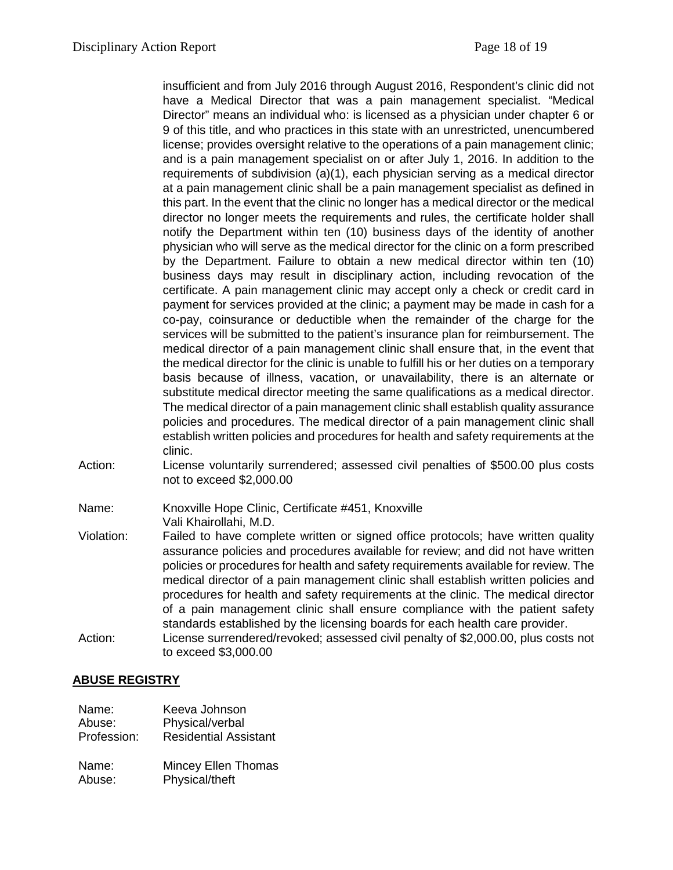insufficient and from July 2016 through August 2016, Respondent's clinic did not have a Medical Director that was a pain management specialist. "Medical Director" means an individual who: is licensed as a physician under chapter 6 or 9 of this title, and who practices in this state with an unrestricted, unencumbered license; provides oversight relative to the operations of a pain management clinic; and is a pain management specialist on or after July 1, 2016. In addition to the requirements of subdivision (a)(1), each physician serving as a medical director at a pain management clinic shall be a pain management specialist as defined in this part. In the event that the clinic no longer has a medical director or the medical director no longer meets the requirements and rules, the certificate holder shall notify the Department within ten (10) business days of the identity of another physician who will serve as the medical director for the clinic on a form prescribed by the Department. Failure to obtain a new medical director within ten (10) business days may result in disciplinary action, including revocation of the certificate. A pain management clinic may accept only a check or credit card in payment for services provided at the clinic; a payment may be made in cash for a co-pay, coinsurance or deductible when the remainder of the charge for the services will be submitted to the patient's insurance plan for reimbursement. The medical director of a pain management clinic shall ensure that, in the event that the medical director for the clinic is unable to fulfill his or her duties on a temporary basis because of illness, vacation, or unavailability, there is an alternate or substitute medical director meeting the same qualifications as a medical director. The medical director of a pain management clinic shall establish quality assurance policies and procedures. The medical director of a pain management clinic shall establish written policies and procedures for health and safety requirements at the clinic.

Action: License voluntarily surrendered; assessed civil penalties of \$500.00 plus costs not to exceed \$2,000.00

Name: Knoxville Hope Clinic, Certificate #451, Knoxville

Vali Khairollahi, M.D.

- Violation: Failed to have complete written or signed office protocols; have written quality assurance policies and procedures available for review; and did not have written policies or procedures for health and safety requirements available for review. The medical director of a pain management clinic shall establish written policies and procedures for health and safety requirements at the clinic. The medical director of a pain management clinic shall ensure compliance with the patient safety standards established by the licensing boards for each health care provider.
- Action: License surrendered/revoked; assessed civil penalty of \$2,000.00, plus costs not to exceed \$3,000.00

## **ABUSE REGISTRY**

| Name:       | Keeva Johnson                |
|-------------|------------------------------|
| Abuse:      | Physical/verbal              |
| Profession: | <b>Residential Assistant</b> |
| Name:       | Mincey Ellen Thomas          |
| Abuse:      | Physical/theft               |